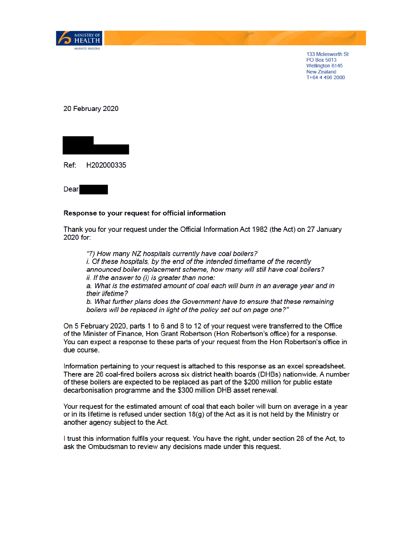

133 Molesworth St PO Box 5013 Wellington 6145 New Zealand T+64 4 496 2000

20 February 2020



Dear

## Response to your request for official information

Thank you for your request under the Official Information Act 1982 (the Act) on 27 January 2020 for:

"7) How many NZ hospitals currently have coal boilers? i. Of these hospitals, by the end of the intended timeframe of the recently announced boiler replacement scheme, how many will still have coal boilers? ii. If the answer to (i) is greater than none: a. What is the estimated amount of coal each will burn in an average year and in their lifetime?

b. What further plans does the Government have to ensure that these remaining boilers will be replaced in light of the policy set out on page one?"

On 5 February 2020, parts 1 to 6 and 8 to 12 of your request were transferred to the Office of the Minister of Finance, Hon Grant Robertson (Hon Robertson's office) for a response. You can expect a response to these parts of your request from the Hon Robertson's office in due course.

Information pertaining to your request is attached to this response as an excel spreadsheet. There are 26 coal-fired boilers across six district health boards (DHBs) nationwide. A number of these boilers are expected to be replaced as part of the \$200 million for public estate decarbonisation programme and the \$300 million DHB asset renewal.

Your request for the estimated amount of coal that each boiler will burn on average in a year or in its lifetime is refused under section  $18(q)$  of the Act as it is not held by the Ministry or another agency subject to the Act.

I trust this information fulfils your request. You have the right, under section 28 of the Act, to ask the Ombudsman to review any decisions made under this request.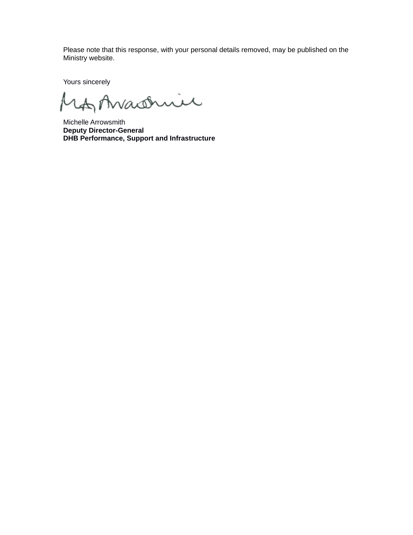Please note that this response, with your personal details removed, may be published on the Ministry website.

Yours sincerely

Anaseric

Michelle Arrowsmith **Deputy Director-General DHB Performance, Support and Infrastructure**